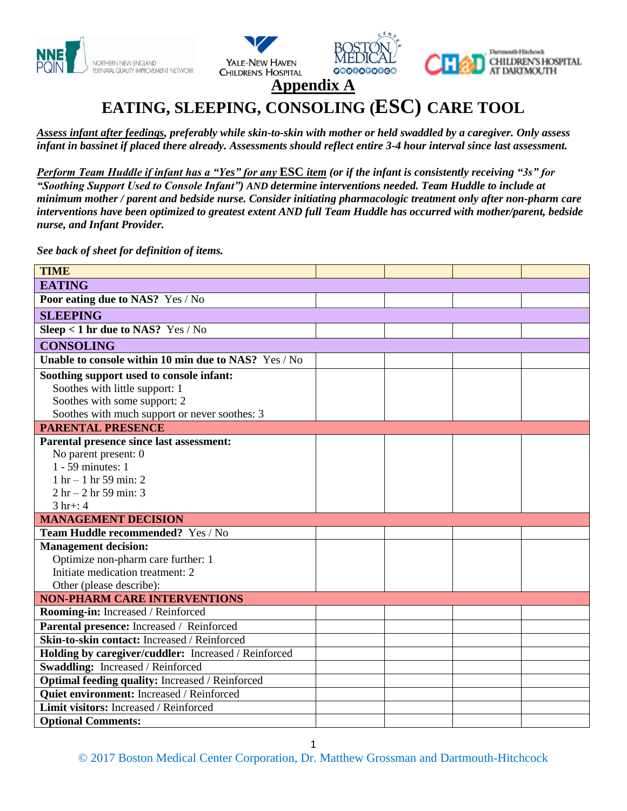







**Appendix A**

# **EATING, SLEEPING, CONSOLING (ESC) CARE TOOL**

*Assess infant after feedings, preferably while skin-to-skin with mother or held swaddled by a caregiver. Only assess infant in bassinet if placed there already. Assessments should reflect entire 3-4 hour interval since last assessment.*

*Perform Team Huddle if infant has a "Yes" for any* **ESC** *item (or if the infant is consistently receiving "3s" for "Soothing Support Used to Console Infant") AND determine interventions needed. Team Huddle to include at minimum mother / parent and bedside nurse. Consider initiating pharmacologic treatment only after non-pharm care interventions have been optimized to greatest extent AND full Team Huddle has occurred with mother/parent, bedside nurse, and Infant Provider.* 

*See back of sheet for definition of items.* 

| <b>TIME</b>                                          |  |  |  |  |  |
|------------------------------------------------------|--|--|--|--|--|
| <b>EATING</b>                                        |  |  |  |  |  |
|                                                      |  |  |  |  |  |
| Poor eating due to NAS? Yes / No                     |  |  |  |  |  |
| <b>SLEEPING</b>                                      |  |  |  |  |  |
| Sleep < 1 hr due to NAS? Yes / No                    |  |  |  |  |  |
| <b>CONSOLING</b>                                     |  |  |  |  |  |
| Unable to console within 10 min due to NAS? Yes / No |  |  |  |  |  |
| Soothing support used to console infant:             |  |  |  |  |  |
| Soothes with little support: 1                       |  |  |  |  |  |
| Soothes with some support: 2                         |  |  |  |  |  |
| Soothes with much support or never soothes: 3        |  |  |  |  |  |
| <b>PARENTAL PRESENCE</b>                             |  |  |  |  |  |
| Parental presence since last assessment:             |  |  |  |  |  |
| No parent present: 0                                 |  |  |  |  |  |
| 1 - 59 minutes: 1                                    |  |  |  |  |  |
| $1 \text{ hr} - 1 \text{ hr} 59 \text{ min}$ : 2     |  |  |  |  |  |
| $2 hr - 2 hr 59 min: 3$                              |  |  |  |  |  |
| $3 hr + 14$                                          |  |  |  |  |  |
| <b>MANAGEMENT DECISION</b>                           |  |  |  |  |  |
| <b>Team Huddle recommended?</b> Yes / No             |  |  |  |  |  |
| <b>Management decision:</b>                          |  |  |  |  |  |
| Optimize non-pharm care further: 1                   |  |  |  |  |  |
| Initiate medication treatment: 2                     |  |  |  |  |  |
| Other (please describe):                             |  |  |  |  |  |
| <b>NON-PHARM CARE INTERVENTIONS</b>                  |  |  |  |  |  |
| Rooming-in: Increased / Reinforced                   |  |  |  |  |  |
| Parental presence: Increased / Reinforced            |  |  |  |  |  |
| Skin-to-skin contact: Increased / Reinforced         |  |  |  |  |  |
| Holding by caregiver/cuddler: Increased / Reinforced |  |  |  |  |  |
| Swaddling: Increased / Reinforced                    |  |  |  |  |  |
| Optimal feeding quality: Increased / Reinforced      |  |  |  |  |  |
| Quiet environment: Increased / Reinforced            |  |  |  |  |  |
| Limit visitors: Increased / Reinforced               |  |  |  |  |  |
| <b>Optional Comments:</b>                            |  |  |  |  |  |

1

© 2017 Boston Medical Center Corporation, Dr. Matthew Grossman and Dartmouth-Hitchcock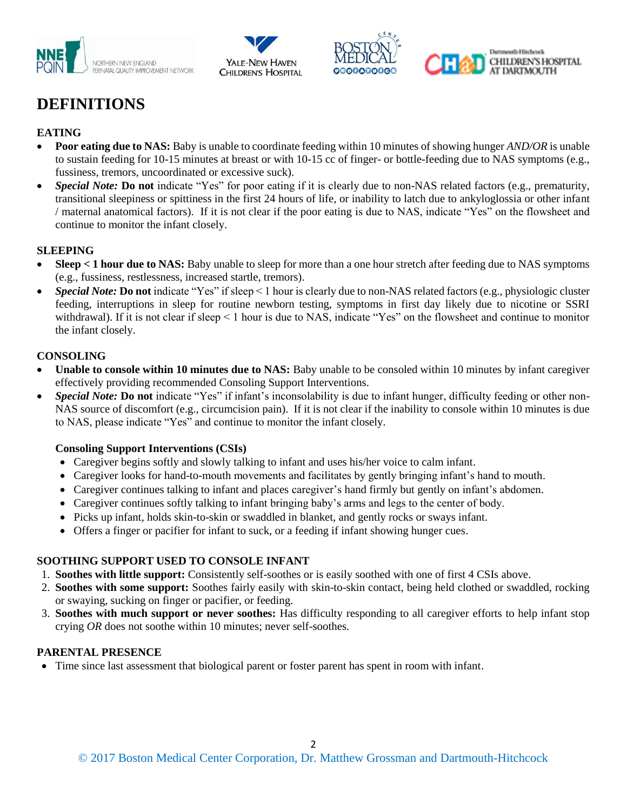







## **DEFINITIONS**

## **EATING**

- **Poor eating due to NAS:** Baby is unable to coordinate feeding within 10 minutes of showing hunger *AND/OR* is unable to sustain feeding for 10-15 minutes at breast or with 10-15 cc of finger- or bottle-feeding due to NAS symptoms (e.g., fussiness, tremors, uncoordinated or excessive suck).
- *Special Note:* **Do not** indicate "Yes" for poor eating if it is clearly due to non-NAS related factors (e.g., prematurity, transitional sleepiness or spittiness in the first 24 hours of life, or inability to latch due to ankyloglossia or other infant / maternal anatomical factors). If it is not clear if the poor eating is due to NAS, indicate "Yes" on the flowsheet and continue to monitor the infant closely.

#### **SLEEPING**

- Sleep < 1 hour due to NAS: Baby unable to sleep for more than a one hour stretch after feeding due to NAS symptoms (e.g., fussiness, restlessness, increased startle, tremors).
- *Special Note:* **Do not** indicate "Yes" if sleep < 1 hour is clearly due to non-NAS related factors (e.g., physiologic cluster feeding, interruptions in sleep for routine newborn testing, symptoms in first day likely due to nicotine or SSRI withdrawal). If it is not clear if sleep < 1 hour is due to NAS, indicate "Yes" on the flowsheet and continue to monitor the infant closely.

#### **CONSOLING**

- Unable to console within 10 minutes due to NAS: Baby unable to be consoled within 10 minutes by infant caregiver effectively providing recommended Consoling Support Interventions.
- *Special Note:* **Do not** indicate "Yes" if infant's inconsolability is due to infant hunger, difficulty feeding or other non-NAS source of discomfort (e.g., circumcision pain). If it is not clear if the inability to console within 10 minutes is due to NAS, please indicate "Yes" and continue to monitor the infant closely.

#### **Consoling Support Interventions (CSIs)**

- Caregiver begins softly and slowly talking to infant and uses his/her voice to calm infant.
- Caregiver looks for hand-to-mouth movements and facilitates by gently bringing infant's hand to mouth.
- Caregiver continues talking to infant and places caregiver's hand firmly but gently on infant's abdomen.
- Caregiver continues softly talking to infant bringing baby's arms and legs to the center of body.
- Picks up infant, holds skin-to-skin or swaddled in blanket, and gently rocks or sways infant.
- Offers a finger or pacifier for infant to suck, or a feeding if infant showing hunger cues.

## **SOOTHING SUPPORT USED TO CONSOLE INFANT**

- 1. **Soothes with little support:** Consistently self-soothes or is easily soothed with one of first 4 CSIs above.
- 2. **Soothes with some support:** Soothes fairly easily with skin-to-skin contact, being held clothed or swaddled, rocking or swaying, sucking on finger or pacifier, or feeding.
- 3. **Soothes with much support or never soothes:** Has difficulty responding to all caregiver efforts to help infant stop crying *OR* does not soothe within 10 minutes; never self-soothes.

## **PARENTAL PRESENCE**

Time since last assessment that biological parent or foster parent has spent in room with infant.